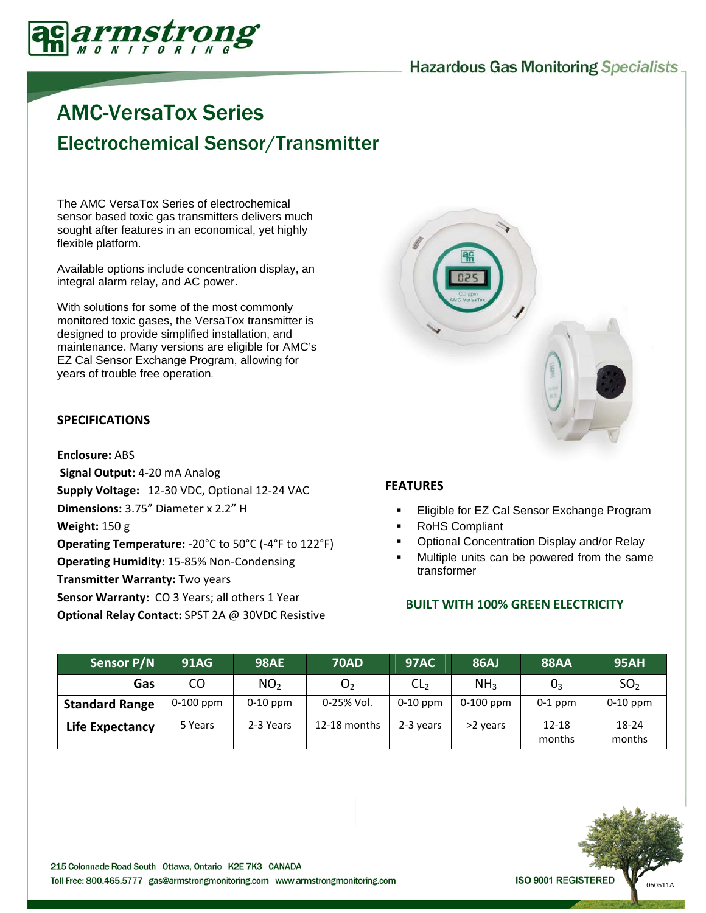## **Hazardous Gas Monitoring Specialists**



# AMC-VersaTox Series Electrochemical Sensor/Transmitter

The AMC VersaTox Series of electrochemical sensor based toxic gas transmitters delivers much sought after features in an economical, yet highly flexible platform.

Available options include concentration display, an integral alarm relay, and AC power.

With solutions for some of the most commonly monitored toxic gases, the VersaTox transmitter is designed to provide simplified installation, and maintenance. Many versions are eligible for AMC's EZ Cal Sensor Exchange Program, allowing for years of trouble free operation.

## **SPECIFICATIONS**

#### **Enclosure:** ABS

**Signal Output:** 4‐20 mA Analog **Supply Voltage:** 12‐30 VDC, Optional 12‐24 VAC **Dimensions:** 3.75" Diameter x 2.2" H **Weight:** 150 g **Operating Temperature:** ‐20°C to 50°C (‐4°F to 122°F) **Operating Humidity:** 15‐85% Non‐Condensing **Transmitter Warranty:** Two years **Sensor Warranty:** CO 3 Years; all others 1 Year **Optional Relay Contact:** SPST 2A @ 30VDC Resistive



### **FEATURES**

- Eligible for EZ Cal Sensor Exchange Program
- RoHS Compliant
- Optional Concentration Display and/or Relay
- Multiple units can be powered from the same transformer

## **BUILT WITH 100% GREEN ELECTRICITY**

| <b>Sensor P/N</b>     | <b>91AG</b> | <b>98AE</b>     | <b>70AD</b>    | <b>97AC</b>     | <b>86AJ</b>     | <b>88AA</b>         | <b>95AH</b>     |
|-----------------------|-------------|-----------------|----------------|-----------------|-----------------|---------------------|-----------------|
| Gas                   | CO          | NO <sub>2</sub> | O <sub>2</sub> | CL <sub>2</sub> | NH <sub>3</sub> | $0_3$               | SO <sub>2</sub> |
| <b>Standard Range</b> | $0-100$ ppm | $0-10$ ppm      | 0-25% Vol.     | $0-10$ ppm      | $0-100$ ppm     | $0-1$ ppm           | $0-10$ ppm      |
| Life Expectancy       | 5 Years     | 2-3 Years       | 12-18 months   | 2-3 years       | >2 years        | $12 - 18$<br>months | 18-24<br>months |

**ISO 9001 REGISTERED**